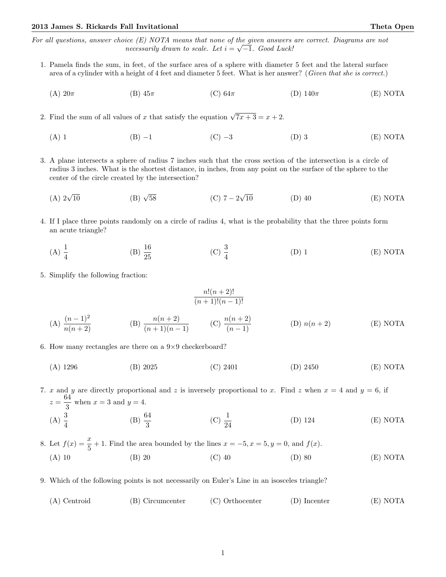For all questions, answer choice  $(E)$  NOTA means that none of the given answers are correct. Diagrams are not necessarily drawn to scale. Let  $i = \sqrt{-1}$ . Good Luck!

- 1. Pamela finds the sum, in feet, of the surface area of a sphere with diameter 5 feet and the lateral surface area of a cylinder with a height of 4 feet and diameter 5 feet. What is her answer? (Given that she is correct.)
	- (A)  $20\pi$  (B)  $45\pi$  (C)  $64\pi$  (D)  $140\pi$  (E) NOTA

2. Find the sum of all values of x that satisfy the equation  $\sqrt{7x+3} = x+2$ .

(A) 1 (B) −1 (C) −3 (D) 3 (E) NOTA

3. A plane intersects a sphere of radius 7 inches such that the cross section of the intersection is a circle of radius 3 inches. What is the shortest distance, in inches, from any point on the surface of the sphere to the center of the circle created by the intersection?

- $(A)$   $2\sqrt{10}$  $(B)$   $\sqrt{58}$ 58 (C)  $7-2$ √ 10 (D) 40 (E) NOTA
- 4. If I place three points randomly on a circle of radius 4, what is the probability that the three points form an acute triangle?
	- (A)  $\frac{1}{4}$ (B)  $\frac{16}{25}$ (C)  $\frac{3}{4}$ (D) 1 (E) NOTA
- 5. Simplify the following fraction:

$$
\frac{n!(n+2)!}{(n+1)!(n-1)!}
$$
\n(A)  $\frac{(n-1)^2}{n(n+2)}$  (B)  $\frac{n(n+2)}{(n+1)(n-1)}$  (C)  $\frac{n(n+2)}{(n-1)}$  (D)  $n(n+2)$  (E) NOTA

6. How many rectangles are there on a  $9\times 9$  checkerboard?

(A) 1296 (B) 2025 (C) 2401 (D) 2450 (E) NOTA

7. x and y are directly proportional and z is inversely proportional to x. Find z when  $x = 4$  and  $y = 6$ , if  $z=\frac{64}{8}$  $\frac{y}{3}$  when  $x = 3$  and  $y = 4$ . (A)  $\frac{3}{4}$ (B)  $\frac{64}{3}$ (C)  $\frac{1}{24}$ (D) 124 (E) NOTA

8. Let  $f(x) = \frac{x}{5} + 1$ . Find the area bounded by the lines  $x = -5, x = 5, y = 0$ , and  $f(x)$ . (A) 10 (B) 20 (C) 40 (D) 80 (E) NOTA

- 9. Which of the following points is not necessarily on Euler's Line in an isosceles triangle?
	- (A) Centroid (B) Circumcenter (C) Orthocenter (D) Incenter (E) NOTA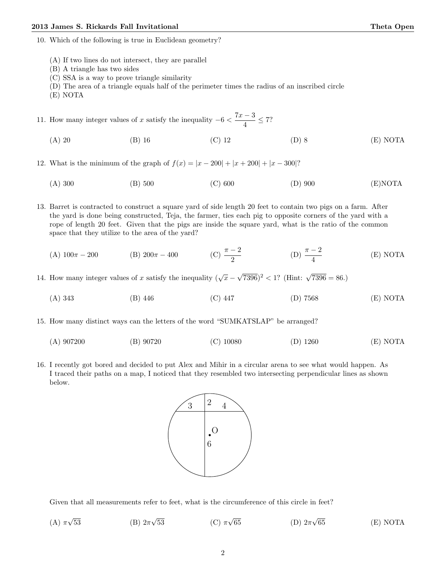- 10. Which of the following is true in Euclidean geometry?
	- (A) If two lines do not intersect, they are parallel
	- (B) A triangle has two sides
	- (C) SSA is a way to prove triangle similarity
	- (D) The area of a triangle equals half of the perimeter times the radius of an inscribed circle
	- (E) NOTA

11. How many integer values of x satisfy the inequality  $-6 < \frac{7x-3}{4}$  $\frac{6}{4} \leq 7$ ?

(A) 20 (B) 16 (C) 12 (D) 8 (E) NOTA

12. What is the minimum of the graph of  $f(x) = |x - 200| + |x + 200| + |x - 300|$ ?

(A) 300 (B) 500 (C) 600 (D) 900 (E)NOTA

13. Barret is contracted to construct a square yard of side length 20 feet to contain two pigs on a farm. After the yard is done being constructed, Teja, the farmer, ties each pig to opposite corners of the yard with a rope of length 20 feet. Given that the pigs are inside the square yard, what is the ratio of the common space that they utilize to the area of the yard?

(A)  $100\pi - 200$  (B)  $200\pi - 400$  $\frac{-2}{2}$  (D)  $\frac{\pi-2}{4}$ (E) NOTA

14. How many integer values of x satisfy the inequality ( $\sqrt{x}$  –  $\sqrt{7396}$ <sup>2</sup> < 1? (Hint:  $\sqrt{7396}$  = 86.)

(A) 343 (B) 446 (C) 447 (D) 7568 (E) NOTA

15. How many distinct ways can the letters of the word "SUMKATSLAP" be arranged?

- (A) 907200 (B) 90720 (C) 10080 (D) 1260 (E) NOTA
- 16. I recently got bored and decided to put Alex and Mihir in a circular arena to see what would happen. As I traced their paths on a map, I noticed that they resembled two intersecting perpendicular lines as shown below.



Given that all measurements refer to feet, what is the circumference of this circle in feet?

 $(A)$   $\pi$ √ 53 (B)  $2\pi$ √ 53 (C)  $\pi$ √ 65 (D)  $2\pi$ √  $(E) NOTA$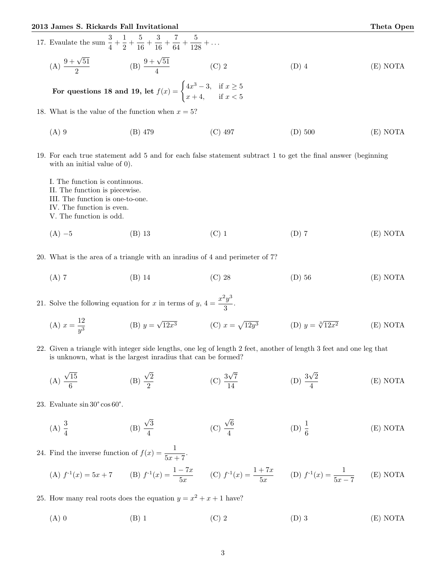2013 James S. Rickards Fall Invitational Theta Open

17. Evaulate the sum  $\frac{3}{4} + \frac{1}{2}$  $\frac{1}{2} + \frac{5}{16}$  $\frac{5}{16} + \frac{3}{16}$  $\frac{3}{16} + \frac{7}{64}$  $\frac{7}{64} + \frac{5}{12}$  $\frac{6}{128} + \ldots$ (A)  $\frac{9+\sqrt{51}}{2}$  $\frac{\sqrt{51}}{2}$  (B)  $\frac{9+\sqrt{51}}{4}$ 4 (C) 2 (D) 4 (E) NOTA

For questions 18 and 19, let  $f(x) = \begin{cases} 4x^3 - 3, & \text{if } x \geq 5 \end{cases}$  $x+4$ , if  $x < 5$ 

18. What is the value of the function when  $x = 5$ ?

- (A) 9 (B) 479 (C) 497 (D) 500 (E) NOTA
- 19. For each true statement add 5 and for each false statement subtract 1 to get the final answer (beginning with an initial value of 0).
	- I. The function is continuous.
	- II. The function is piecewise.
	- III. The function is one-to-one.
	- IV. The function is even.

V. The function is odd.

(A) −5 (B) 13 (C) 1 (D) 7 (E) NOTA

20. What is the area of a triangle with an inradius of 4 and perimeter of 7?

(A) 7 (B) 14 (C) 28 (D) 56 (E) NOTA

21. Solve the following equation for x in terms of  $y, 4 = \frac{x^2y^3}{2}$  $\frac{9}{3}$ .

- (A)  $x = \frac{12}{3}$  $y^3$  $(B)$   $y =$ √  $\overline{12x^3}$  (C)  $x = \sqrt{12y^3}$  (D)  $y = \sqrt[3]{12x}$  $(E) NOTA$
- 22. Given a triangle with integer side lengths, one leg of length 2 feet, another of length 3 feet and one leg that is unknown, what is the largest inradius that can be formed?
	- (A) √ 15 6 (B) √ 2 2  $(C)$  $\frac{3}{-}$ √ 7 14  $(D)$  $\frac{3}{4}$ √ 2 4 (E) NOTA
- 23. Evaluate sin 30° cos 60°.
	- (A)  $\frac{3}{4}$ (B) √ 3 4 (C) √ 6 4 (D)  $\frac{1}{6}$ (E) NOTA

24. Find the inverse function of  $f(x) = \frac{1}{5x + 7}$ .

(A) 
$$
f^{-1}(x) = 5x + 7
$$
 (B)  $f^{-1}(x) = \frac{1 - 7x}{5x}$  (C)  $f^{-1}(x) = \frac{1 + 7x}{5x}$  (D)  $f^{-1}(x) = \frac{1}{5x - 7}$  (E) NOTA

25. How many real roots does the equation  $y = x^2 + x + 1$  have?

(A) 0 (B) 1 (C) 2 (D) 3 (E) NOTA